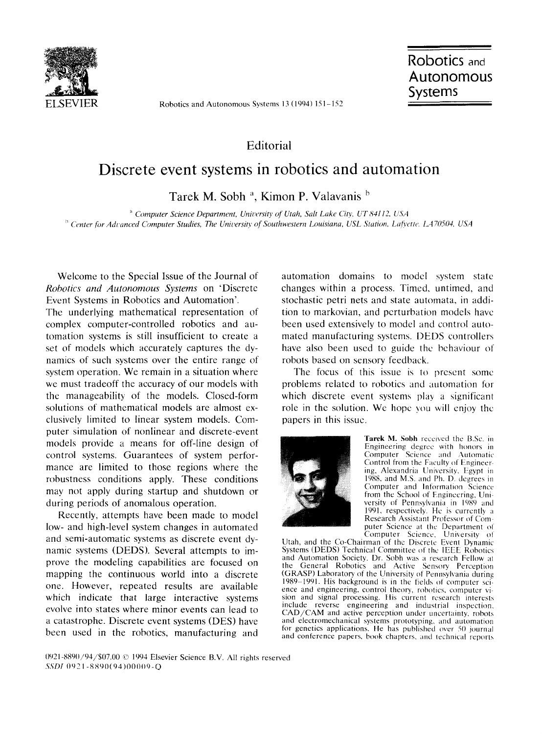

**ELSEVIER** Robotics and Autonomous Systems 13 (1994) 151-152

**Robotics and Autonomous Systems** 

**Editorial** 

## **Discrete event systems in robotics and automation**

Tarek M. Sobh<sup>a</sup>, Kimon P. Valavanis<sup>b</sup>

<sup>a</sup> Computer Science Department, University of Utah, Salt Lake City, UT 84112, USA <sup>*h*</sup> Center for Advanced Computer Studies, The University of Southwestern Louisiana, USL Station, Lafyette. LA70504, USA

Welcome to the Special Issue of the Journal of *Robotics and Autonomous Systems* on 'Discrete Event Systems in Robotics and Automation'.

The underlying mathematical representation of complex computer-controlled robotics and automation systems is still insufficient to create a set of models which accurately captures the dynamics of such systems over the entire range of system operation. We remain in a situation where we must tradeoff the accuracy of our models with the manageability' of the models. Closed-form solutions of mathematical models are almost exclusively limited to linear system models. Computer simulation of nonlinear and discrete-event models provide a means for off-line design of control systems. Guarantees of system performance are limited to those regions where the robustness conditions apply. These conditions may not apply during startup and shutdown or during periods of anomalous operation.

Recently, attempts have been made to model low- and high-level system changes in automated and semi-automatic systems as discrete event dynamic systems (DEDS). Several attempts to improve the modeling capabilities are focused on mapping the continuous world into a discrete one. However, repeated results are available which indicate that large interactive systems evolve into states where minor events can lead to a catastrophe. Discrete event systems (DES) have been used in the robotics, manufacturing and

automation domains to model system state changes within a process. Timed, untimed, and stochastic petri nets and state automata, in addition to markovian, and perturbation models have been used extensively to model and control automated manufacturing systems. DEDS controllers have also been used to guide the bchaviour of robots based on sensory feedback.

The focus of this issue is to present some problems related to robotics and automation for which discrete event systems play a significant role in the solution. We hope you will enjoy the papers in this issue.



**Tarek M. Sobh** received the B.Sc. in Engineering degrcc with honors in Computer Science and Automatic Control from the Faculty of Lngineer ing, Alexandria University. Egypt in 1988, and M.S. and Ph. D. degrees in Computer and Information Sciencc from the School of Engineering, University of Pennsylvania in 1989 and 1991, respectively. Hc is currently a Research Assistant Professor of Compurer Science at the Department of

Computer Science, University ol Utah, and the Co-Chairman of the Discrete Event Dynamic Systems (DEDS) Technical Committee of the IEEE Robotics and Automation Society. Dr. Sobh was a research Fellow al the General Robotics and Active Sensory Perception (GRASP) Laboratory of the University of Pennsylvania during 1989-1991. His background is in the fields of computer science and engineering, control theory, robotics, computer vi sion and signal processing. His current research interests include reverse engineering and industrial inspection, CAD/CAM and active perception under uncertainty, robots and electromechanical systems prototyping, and automation for genetics applications. He has published over 50 journal and conference papers, book chapters, and technical reportx